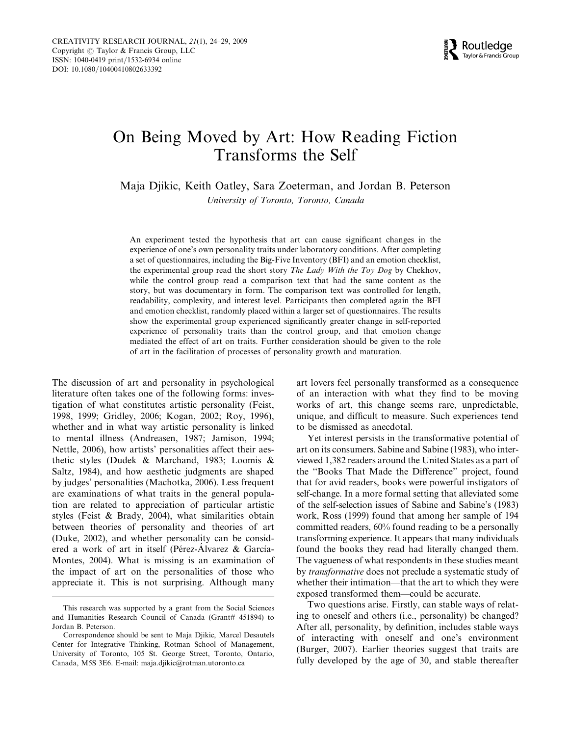

# On Being Moved by Art: How Reading Fiction Transforms the Self

Maja Djikic, Keith Oatley, Sara Zoeterman, and Jordan B. Peterson

University of Toronto, Toronto, Canada

An experiment tested the hypothesis that art can cause significant changes in the experience of one's own personality traits under laboratory conditions. After completing a set of questionnaires, including the Big-Five Inventory (BFI) and an emotion checklist, the experimental group read the short story The Lady With the Toy Dog by Chekhov, while the control group read a comparison text that had the same content as the story, but was documentary in form. The comparison text was controlled for length, readability, complexity, and interest level. Participants then completed again the BFI and emotion checklist, randomly placed within a larger set of questionnaires. The results show the experimental group experienced significantly greater change in self-reported experience of personality traits than the control group, and that emotion change mediated the effect of art on traits. Further consideration should be given to the role of art in the facilitation of processes of personality growth and maturation.

The discussion of art and personality in psychological literature often takes one of the following forms: investigation of what constitutes artistic personality (Feist, 1998, 1999; Gridley, 2006; Kogan, 2002; Roy, 1996), whether and in what way artistic personality is linked to mental illness (Andreasen, 1987; Jamison, 1994; Nettle, 2006), how artists' personalities affect their aesthetic styles (Dudek & Marchand, 1983; Loomis & Saltz, 1984), and how aesthetic judgments are shaped by judges' personalities (Machotka, 2006). Less frequent are examinations of what traits in the general population are related to appreciation of particular artistic styles (Feist & Brady, 2004), what similarities obtain between theories of personality and theories of art (Duke, 2002), and whether personality can be considered a work of art in itself (Pérez-Alvarez & García-Montes, 2004). What is missing is an examination of the impact of art on the personalities of those who appreciate it. This is not surprising. Although many art lovers feel personally transformed as a consequence of an interaction with what they find to be moving works of art, this change seems rare, unpredictable, unique, and difficult to measure. Such experiences tend to be dismissed as anecdotal.

Yet interest persists in the transformative potential of art on its consumers. Sabine and Sabine (1983), who interviewed 1,382 readers around the United States as a part of the ''Books That Made the Difference'' project, found that for avid readers, books were powerful instigators of self-change. In a more formal setting that alleviated some of the self-selection issues of Sabine and Sabine's (1983) work, Ross (1999) found that among her sample of 194 committed readers, 60% found reading to be a personally transforming experience. It appears that many individuals found the books they read had literally changed them. The vagueness of what respondents in these studies meant by transformative does not preclude a systematic study of whether their intimation—that the art to which they were exposed transformed them—could be accurate.

Two questions arise. Firstly, can stable ways of relating to oneself and others (i.e., personality) be changed? After all, personality, by definition, includes stable ways of interacting with oneself and one's environment (Burger, 2007). Earlier theories suggest that traits are fully developed by the age of 30, and stable thereafter

This research was supported by a grant from the Social Sciences and Humanities Research Council of Canada (Grant# 451894) to Jordan B. Peterson.

Correspondence should be sent to Maja Djikic, Marcel Desautels Center for Integrative Thinking, Rotman School of Management, University of Toronto, 105 St. George Street, Toronto, Ontario, Canada, M5S 3E6. E-mail: maja.djikic@rotman.utoronto.ca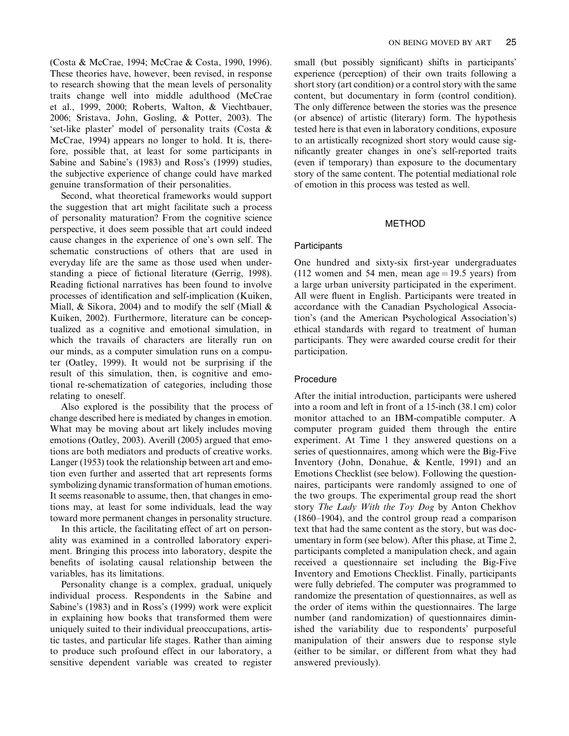(Costa & McCrae, 1994; McCrae & Costa, 1990, 1996). These theories have, however, been revised, in response to research showing that the mean levels of personality traits change well into middle adulthood (McCrae et al., 1999, 2000; Roberts, Walton, & Viechtbauer, 2006; Sristava, John, Gosling, & Potter, 2003). The 'set-like plaster' model of personality traits (Costa & McCrae, 1994) appears no longer to hold. It is, therefore, possible that, at least for some participants in Sabine and Sabine's (1983) and Ross's (1999) studies, the subjective experience of change could have marked genuine transformation of their personalities.

Second, what theoretical frameworks would support the suggestion that art might facilitate such a process of personality maturation? From the cognitive science perspective, it does seem possible that art could indeed cause changes in the experience of one's own self. The schematic constructions of others that are used in everyday life are the same as those used when understanding a piece of fictional literature (Gerrig, 1998). Reading fictional narratives has been found to involve processes of identification and self-implication (Kuiken, Miall,  $\&$  Sikora, 2004) and to modify the self (Miall  $\&$ Kuiken, 2002). Furthermore, literature can be conceptualized as a cognitive and emotional simulation, in which the travails of characters are literally run on our minds, as a computer simulation runs on a computer (Oatley, 1999). It would not be surprising if the result of this simulation, then, is cognitive and emotional re-schematization of categories, including those relating to oneself.

Also explored is the possibility that the process of change described here is mediated by changes in emotion. What may be moving about art likely includes moving emotions (Oatley, 2003). Averill (2005) argued that emotions are both mediators and products of creative works. Langer (1953) took the relationship between art and emotion even further and asserted that art represents forms symbolizing dynamic transformation of human emotions. It seems reasonable to assume, then, that changes in emotions may, at least for some individuals, lead the way toward more permanent changes in personality structure.

In this article, the facilitating effect of art on personality was examined in a controlled laboratory experiment. Bringing this process into laboratory, despite the benefits of isolating causal relationship between the variables, has its limitations.

Personality change is a complex, gradual, uniquely individual process. Respondents in the Sabine and Sabine's (1983) and in Ross's (1999) work were explicit in explaining how books that transformed them were uniquely suited to their individual preoccupations, artistic tastes, and particular life stages. Rather than aiming to produce such profound effect in our laboratory, a sensitive dependent variable was created to register small (but possibly significant) shifts in participants' experience (perception) of their own traits following a short story (art condition) or a control story with the same content, but documentary in form (control condition). The only difference between the stories was the presence (or absence) of artistic (literary) form. The hypothesis tested here is that even in laboratory conditions, exposure to an artistically recognized short story would cause significantly greater changes in one's self-reported traits (even if temporary) than exposure to the documentary story of the same content. The potential mediational role of emotion in this process was tested as well.

#### METHOD

## **Participants**

One hundred and sixty-six first-year undergraduates (112 women and 54 men, mean age  $= 19.5$  years) from a large urban university participated in the experiment. All were fluent in English. Participants were treated in accordance with the Canadian Psychological Association's (and the American Psychological Association's) ethical standards with regard to treatment of human participants. They were awarded course credit for their participation.

## Procedure

After the initial introduction, participants were ushered into a room and left in front of a 15-inch (38.1 cm) color monitor attached to an IBM-compatible computer. A computer program guided them through the entire experiment. At Time 1 they answered questions on a series of questionnaires, among which were the Big-Five Inventory (John, Donahue, & Kentle, 1991) and an Emotions Checklist (see below). Following the questionnaires, participants were randomly assigned to one of the two groups. The experimental group read the short story The Lady With the Toy Dog by Anton Chekhov (1860–1904), and the control group read a comparison text that had the same content as the story, but was documentary in form (see below). After this phase, at Time 2, participants completed a manipulation check, and again received a questionnaire set including the Big-Five Inventory and Emotions Checklist. Finally, participants were fully debriefed. The computer was programmed to randomize the presentation of questionnaires, as well as the order of items within the questionnaires. The large number (and randomization) of questionnaires diminished the variability due to respondents' purposeful manipulation of their answers due to response style (either to be similar, or different from what they had answered previously).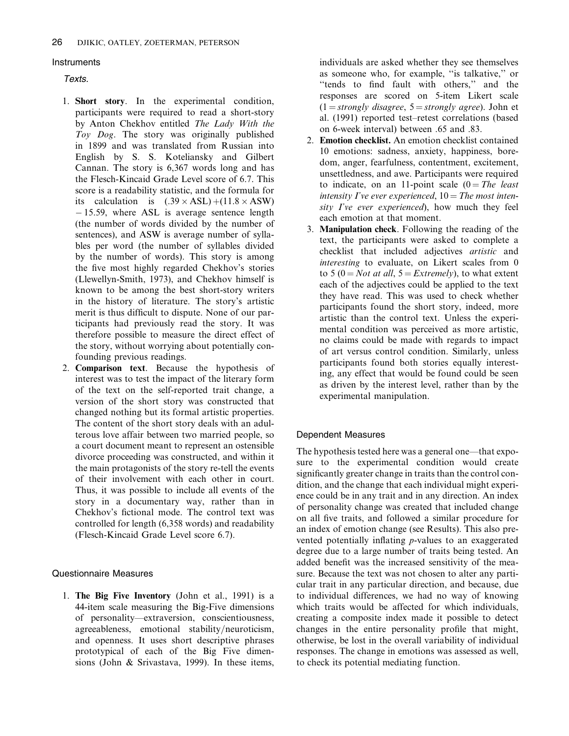# **Instruments**

# Texts.

- 1. Short story. In the experimental condition, participants were required to read a short-story by Anton Chekhov entitled The Lady With the Toy Dog. The story was originally published in 1899 and was translated from Russian into English by S. S. Koteliansky and Gilbert Cannan. The story is 6,367 words long and has the Flesch-Kincaid Grade Level score of 6.7. This score is a readability statistic, and the formula for its calculation is  $(.39 \times ASL) + (11.8 \times ASW)$ - 15.59, where ASL is average sentence length (the number of words divided by the number of sentences), and ASW is average number of syllables per word (the number of syllables divided by the number of words). This story is among the five most highly regarded Chekhov's stories (Llewellyn-Smith, 1973), and Chekhov himself is known to be among the best short-story writers in the history of literature. The story's artistic merit is thus difficult to dispute. None of our participants had previously read the story. It was therefore possible to measure the direct effect of the story, without worrying about potentially confounding previous readings.
- 2. Comparison text. Because the hypothesis of interest was to test the impact of the literary form of the text on the self-reported trait change, a version of the short story was constructed that changed nothing but its formal artistic properties. The content of the short story deals with an adulterous love affair between two married people, so a court document meant to represent an ostensible divorce proceeding was constructed, and within it the main protagonists of the story re-tell the events of their involvement with each other in court. Thus, it was possible to include all events of the story in a documentary way, rather than in Chekhov's fictional mode. The control text was controlled for length (6,358 words) and readability (Flesch-Kincaid Grade Level score 6.7).

# Questionnaire Measures

1. The Big Five Inventory (John et al., 1991) is a 44-item scale measuring the Big-Five dimensions of personality—extraversion, conscientiousness, agreeableness, emotional stability/neuroticism, and openness. It uses short descriptive phrases prototypical of each of the Big Five dimensions (John & Srivastava, 1999). In these items,

individuals are asked whether they see themselves as someone who, for example, ''is talkative,'' or ''tends to find fault with others,'' and the responses are scored on 5-item Likert scale  $(1 = strongly disagree, 5 = strongly agree)$ . John et al. (1991) reported test–retest correlations (based on 6-week interval) between .65 and .83.

- 2. Emotion checklist. An emotion checklist contained 10 emotions: sadness, anxiety, happiness, boredom, anger, fearfulness, contentment, excitement, unsettledness, and awe. Participants were required to indicate, on an 11-point scale  $(0 = The$  least intensity I've ever experienced,  $10$  = The most intensity I've ever experienced), how much they feel each emotion at that moment.
- 3. Manipulation check. Following the reading of the text, the participants were asked to complete a checklist that included adjectives artistic and interesting to evaluate, on Likert scales from 0 to 5 (0 = Not at all, 5 = Extremely), to what extent each of the adjectives could be applied to the text they have read. This was used to check whether participants found the short story, indeed, more artistic than the control text. Unless the experimental condition was perceived as more artistic, no claims could be made with regards to impact of art versus control condition. Similarly, unless participants found both stories equally interesting, any effect that would be found could be seen as driven by the interest level, rather than by the experimental manipulation.

# Dependent Measures

The hypothesis tested here was a general one—that exposure to the experimental condition would create significantly greater change in traits than the control condition, and the change that each individual might experience could be in any trait and in any direction. An index of personality change was created that included change on all five traits, and followed a similar procedure for an index of emotion change (see Results). This also prevented potentially inflating p-values to an exaggerated degree due to a large number of traits being tested. An added benefit was the increased sensitivity of the measure. Because the text was not chosen to alter any particular trait in any particular direction, and because, due to individual differences, we had no way of knowing which traits would be affected for which individuals, creating a composite index made it possible to detect changes in the entire personality profile that might, otherwise, be lost in the overall variability of individual responses. The change in emotions was assessed as well, to check its potential mediating function.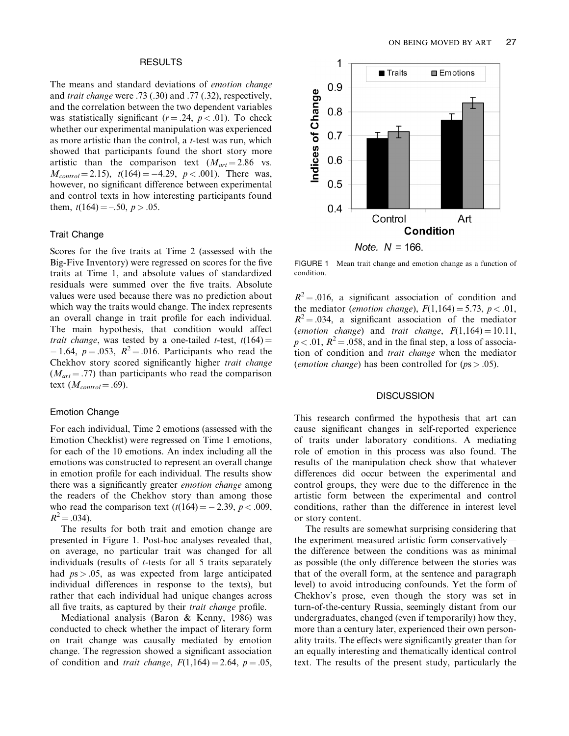## RESULTS

The means and standard deviations of emotion change and trait change were .73 (.30) and .77 (.32), respectively, and the correlation between the two dependent variables was statistically significant ( $r = .24$ ,  $p < .01$ ). To check whether our experimental manipulation was experienced as more artistic than the control, a t-test was run, which showed that participants found the short story more artistic than the comparison text  $(M_{art} = 2.86 \text{ vs.})$  $M_{control} = 2.15$ ,  $t(164) = -4.29$ ,  $p < .001$ ). There was, however, no significant difference between experimental and control texts in how interesting participants found them,  $t(164) = -.50, p > .05$ .

#### Trait Change

Scores for the five traits at Time 2 (assessed with the Big-Five Inventory) were regressed on scores for the five traits at Time 1, and absolute values of standardized residuals were summed over the five traits. Absolute values were used because there was no prediction about which way the traits would change. The index represents an overall change in trait profile for each individual. The main hypothesis, that condition would affect *trait change*, was tested by a one-tailed *t*-test,  $t(164) =$  $-1.64$ ,  $p = .053$ ,  $R^2 = .016$ . Participants who read the Chekhov story scored significantly higher trait change  $(M_{art} = .77)$  than participants who read the comparison text  $(M_{control} = .69)$ .

## Emotion Change

For each individual, Time 2 emotions (assessed with the Emotion Checklist) were regressed on Time 1 emotions, for each of the 10 emotions. An index including all the emotions was constructed to represent an overall change in emotion profile for each individual. The results show there was a significantly greater emotion change among the readers of the Chekhov story than among those who read the comparison text  $(t(164) = -2.39, p < .009,$  $R^2 = .034$ ).

The results for both trait and emotion change are presented in Figure 1. Post-hoc analyses revealed that, on average, no particular trait was changed for all individuals (results of t-tests for all 5 traits separately had  $ps > 0.05$ , as was expected from large anticipated individual differences in response to the texts), but rather that each individual had unique changes across all five traits, as captured by their trait change profile.

Mediational analysis (Baron & Kenny, 1986) was conducted to check whether the impact of literary form on trait change was causally mediated by emotion change. The regression showed a significant association of condition and trait change,  $F(1,164) = 2.64$ ,  $p = .05$ ,



FIGURE 1 Mean trait change and emotion change as a function of condition.

 $R<sup>2</sup> = .016$ , a significant association of condition and the mediator (*emotion change*),  $F(1,164) = 5.73$ ,  $p < .01$ ,  $R^2 = .034$ , a significant association of the mediator (emotion change) and trait change,  $F(1,164) = 10.11$ ,  $p < .01$ ,  $R^2 = .058$ , and in the final step, a loss of association of condition and trait change when the mediator (*emotion change*) has been controlled for  $(ps > .05)$ .

## **DISCUSSION**

This research confirmed the hypothesis that art can cause significant changes in self-reported experience of traits under laboratory conditions. A mediating role of emotion in this process was also found. The results of the manipulation check show that whatever differences did occur between the experimental and control groups, they were due to the difference in the artistic form between the experimental and control conditions, rather than the difference in interest level or story content.

The results are somewhat surprising considering that the experiment measured artistic form conservatively the difference between the conditions was as minimal as possible (the only difference between the stories was that of the overall form, at the sentence and paragraph level) to avoid introducing confounds. Yet the form of Chekhov's prose, even though the story was set in turn-of-the-century Russia, seemingly distant from our undergraduates, changed (even if temporarily) how they, more than a century later, experienced their own personality traits. The effects were significantly greater than for an equally interesting and thematically identical control text. The results of the present study, particularly the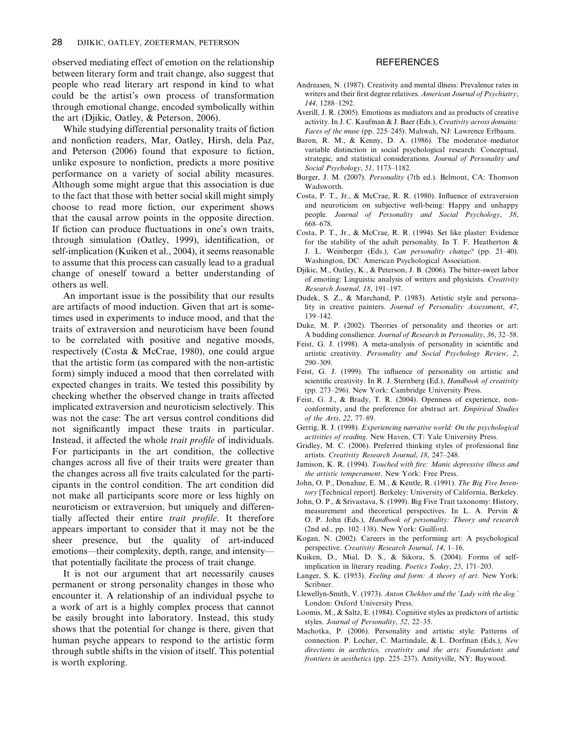observed mediating effect of emotion on the relationship between literary form and trait change, also suggest that people who read literary art respond in kind to what could be the artist's own process of transformation through emotional change, encoded symbolically within the art (Djikic, Oatley, & Peterson, 2006).

While studying differential personality traits of fiction and nonfiction readers, Mar, Oatley, Hirsh, dela Paz, and Peterson (2006) found that exposure to fiction, unlike exposure to nonfiction, predicts a more positive performance on a variety of social ability measures. Although some might argue that this association is due to the fact that those with better social skill might simply choose to read more fiction, our experiment shows that the causal arrow points in the opposite direction. If fiction can produce fluctuations in one's own traits, through simulation (Oatley, 1999), identification, or self-implication (Kuiken et al., 2004), it seems reasonable to assume that this process can casually lead to a gradual change of oneself toward a better understanding of others as well.

An important issue is the possibility that our results are artifacts of mood induction. Given that art is sometimes used in experiments to induce mood, and that the traits of extraversion and neuroticism have been found to be correlated with positive and negative moods, respectively (Costa & McCrae, 1980), one could argue that the artistic form (as compared with the non-artistic form) simply induced a mood that then correlated with expected changes in traits. We tested this possibility by checking whether the observed change in traits affected implicated extraversion and neuroticism selectively. This was not the case: The art versus control conditions did not significantly impact these traits in particular. Instead, it affected the whole trait profile of individuals. For participants in the art condition, the collective changes across all five of their traits were greater than the changes across all five traits calculated for the participants in the control condition. The art condition did not make all participants score more or less highly on neuroticism or extraversion, but uniquely and differentially affected their entire trait profile. It therefore appears important to consider that it may not be the sheer presence, but the quality of art-induced emotions—their complexity, depth, range, and intensity that potentially facilitate the process of trait change.

It is not our argument that art necessarily causes permanent or strong personality changes in those who encounter it. A relationship of an individual psyche to a work of art is a highly complex process that cannot be easily brought into laboratory. Instead, this study shows that the potential for change is there, given that human psyche appears to respond to the artistic form through subtle shifts in the vision of itself. This potential is worth exploring.

# **REFERENCES**

- Andreasen, N. (1987). Creativity and mental illness: Prevalence rates in writers and their first degree relatives. American Journal of Psychiatry, 144, 1288–1292.
- Averill, J. R. (2005). Emotions as mediators and as products of creative activity. In J. C. Kaufman & J. Baer (Eds.), Creativity across domains: Faces of the muse (pp. 225-245). Mahwah, NJ: Lawrence Erlbaum.
- Baron, R. M., & Kenny, D. A. (1986). The moderator–mediator variable distinction in social psychological research: Conceptual, strategic, and statistical considerations. Journal of Personality and Social Psychology, 51, 1173–1182.
- Burger, J. M. (2007). Personality (7th ed.). Belmont, CA: Thomson Wadsworth.
- Costa, P. T., Jr., & McCrae, R. R. (1980). Influence of extraversion and neuroticism on subjective well-being: Happy and unhappy people. Journal of Personality and Social Psychology, 38, 668–678.
- Costa, P. T., Jr., & McCrae, R. R. (1994). Set like plaster: Evidence for the stability of the adult personality. In T. F. Heatherton & J. L. Weinberger (Eds.), Can personality change? (pp. 21–40). Washington, DC: American Psychological Association.
- Djikic, M., Oatley, K., & Peterson, J. B. (2006). The bitter-sweet labor of emoting: Linguistic analysis of writers and physicists. Creativity Research Journal, 18, 191–197.
- Dudek, S. Z., & Marchand, P. (1983). Artistic style and personality in creative painters. Journal of Personality Assessment, 47, 139–142.
- Duke, M. P. (2002). Theories of personality and theories or art: A budding consilience. Journal of Research in Personality, 36, 32–58.
- Feist, G. J. (1998). A meta-analysis of personality in scientific and artistic creativity. Personality and Social Psychology Review, 2, 290–309.
- Feist, G. J. (1999). The influence of personality on artistic and scientific creativity. In R. J. Sternberg (Ed.), Handbook of creativity (pp. 273–296). New York: Cambridge University Press.
- Feist, G. J., & Brady, T. R. (2004). Openness of experience, nonconformity, and the preference for abstract art. Empirical Studies of the Arts, 22, 77–89.
- Gerrig, R. J. (1998). Experiencing narrative world: On the psychological activities of reading. New Haven, CT: Yale University Press.
- Gridley, M. C. (2006). Preferred thinking styles of professional fine artists. Creativity Research Journal, 18, 247–248.
- Jamison, K. R. (1994). Touched with fire: Manic depressive illness and the artistic temperament. New York: Free Press.
- John, O. P., Donahue, E. M., & Kentle, R. (1991). The Big Five Inventory [Technical report]. Berkeley: University of California, Berkeley.
- John, O. P., & Srivastava, S. (1999). Big Five Trait taxonomy: History, measurement and theoretical perspectives. In L. A. Pervin & O. P. John (Eds.), Handbook of personality: Theory and research (2nd ed., pp. 102–138). New York: Guilford.
- Kogan, N. (2002). Careers in the performing art: A psychological perspective. Creativity Research Journal, 14, 1–16.
- Kuiken, D., Mial, D. S., & Sikora, S. (2004). Forms of selfimplication in literary reading. Poetics Today, 25, 171–203.
- Langer, S. K. (1953). Feeling and form: A theory of art. New York: Scribner.
- Llewellyn-Smith, V. (1973). Anton Chekhov and the 'Lady with the dog.' London: Oxford University Press.
- Loomis, M., & Saltz, E. (1984). Cognitive styles as predictors of artistic styles. Journal of Personality, 52, 22-35.
- Machotka, P. (2006). Personality and artistic style: Patterns of connection. P. Locher, C. Martindale, & L. Dorfman (Eds.), New directions in aesthetics, creativity and the arts: Foundations and frontiers in aesthetics (pp. 225-237). Amityville, NY: Baywood.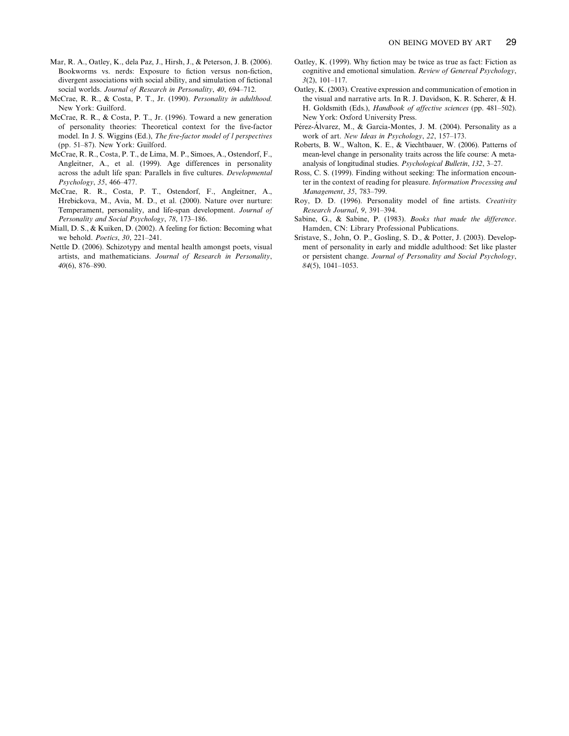- Mar, R. A., Oatley, K., dela Paz, J., Hirsh, J., & Peterson, J. B. (2006). Bookworms vs. nerds: Exposure to fiction versus non-fiction, divergent associations with social ability, and simulation of fictional social worlds. Journal of Research in Personality, 40, 694–712.
- McCrae, R. R., & Costa, P. T., Jr. (1990). Personality in adulthood. New York: Guilford.
- McCrae, R. R., & Costa, P. T., Jr. (1996). Toward a new generation of personality theories: Theoretical context for the five-factor model. In J. S. Wiggins (Ed.), The five-factor model of l perspectives (pp. 51–87). New York: Guilford.
- McCrae, R. R., Costa, P. T., de Lima, M. P., Simoes, A., Ostendorf, F., Angleitner, A., et al. (1999). Age differences in personality across the adult life span: Parallels in five cultures. Developmental Psychology, 35, 466–477.
- McCrae, R. R., Costa, P. T., Ostendorf, F., Angleitner, A., Hrebickova, M., Avia, M. D., et al. (2000). Nature over nurture: Temperament, personality, and life-span development. Journal of Personality and Social Psychology, 78, 173–186.
- Miall, D. S., & Kuiken, D. (2002). A feeling for fiction: Becoming what we behold. Poetics, 30, 221–241.
- Nettle D. (2006). Schizotypy and mental health amongst poets, visual artists, and mathematicians. Journal of Research in Personality, 40(6), 876–890.
- Oatley, K. (1999). Why fiction may be twice as true as fact: Fiction as cognitive and emotional simulation. Review of Genereal Psychology, 3(2), 101–117.
- Oatley, K. (2003). Creative expression and communication of emotion in the visual and narrative arts. In R. J. Davidson, K. R. Scherer, & H. H. Goldsmith (Eds.), Handbook of affective sciences (pp. 481–502). New York: Oxford University Press.
- Pérez-Álvarez, M., & Garcia-Montes, J. M. (2004). Personality as a work of art. New Ideas in Psychology, 22, 157–173.
- Roberts, B. W., Walton, K. E., & Viechtbauer, W. (2006). Patterns of mean-level change in personality traits across the life course: A metaanalysis of longitudinal studies. Psychological Bulletin, 132, 3–27.
- Ross, C. S. (1999). Finding without seeking: The information encounter in the context of reading for pleasure. Information Processing and Management, 35, 783–799.
- Roy, D. D. (1996). Personality model of fine artists. Creativity Research Journal, 9, 391–394.
- Sabine, G., & Sabine, P. (1983). Books that made the difference. Hamden, CN: Library Professional Publications.
- Sristave, S., John, O. P., Gosling, S. D., & Potter, J. (2003). Development of personality in early and middle adulthood: Set like plaster or persistent change. Journal of Personality and Social Psychology, 84(5), 1041–1053.